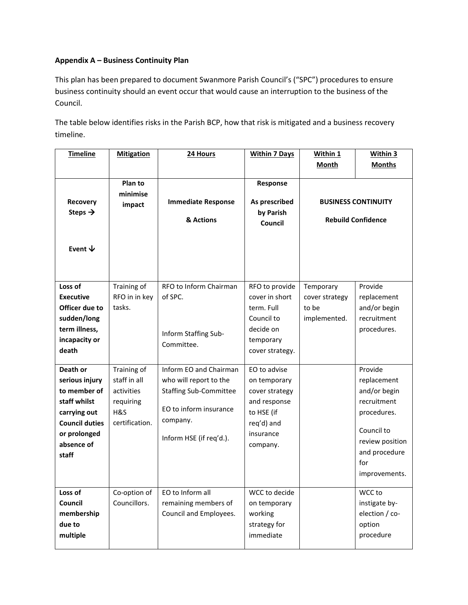## **Appendix A – Business Continuity Plan**

This plan has been prepared to document Swanmore Parish Council's ("SPC") procedures to ensure business continuity should an event occur that would cause an interruption to the business of the Council.

The table below identifies risks in the Parish BCP, how that risk is mitigated and a business recovery timeline.

| <b>Timeline</b>                                                                                                                            | <b>Mitigation</b>                                                               | 24 Hours                                                                                                                                           | <b>Within 7 Days</b>                                                                                                | Within 1<br>Month                                       | Within 3<br><b>Months</b>                                                                                                                      |
|--------------------------------------------------------------------------------------------------------------------------------------------|---------------------------------------------------------------------------------|----------------------------------------------------------------------------------------------------------------------------------------------------|---------------------------------------------------------------------------------------------------------------------|---------------------------------------------------------|------------------------------------------------------------------------------------------------------------------------------------------------|
|                                                                                                                                            |                                                                                 |                                                                                                                                                    |                                                                                                                     |                                                         |                                                                                                                                                |
| Recovery<br>Steps $\rightarrow$<br>Event $\psi$                                                                                            | Plan to<br>minimise<br>impact                                                   | <b>Immediate Response</b><br>& Actions                                                                                                             | Response<br>As prescribed<br>by Parish<br>Council                                                                   | <b>BUSINESS CONTINUITY</b><br><b>Rebuild Confidence</b> |                                                                                                                                                |
| Loss of<br><b>Executive</b><br>Officer due to<br>sudden/long<br>term illness,<br>incapacity or<br>death                                    | Training of<br>RFO in in key<br>tasks.                                          | RFO to Inform Chairman<br>of SPC.<br>Inform Staffing Sub-<br>Committee.                                                                            | RFO to provide<br>cover in short<br>term. Full<br>Council to<br>decide on<br>temporary<br>cover strategy.           | Temporary<br>cover strategy<br>to be<br>implemented.    | Provide<br>replacement<br>and/or begin<br>recruitment<br>procedures.                                                                           |
| Death or<br>serious injury<br>to member of<br>staff whilst<br>carrying out<br><b>Council duties</b><br>or prolonged<br>absence of<br>staff | Training of<br>staff in all<br>activities<br>requiring<br>H&S<br>certification. | Inform EO and Chairman<br>who will report to the<br><b>Staffing Sub-Committee</b><br>EO to inform insurance<br>company.<br>Inform HSE (if req'd.). | EO to advise<br>on temporary<br>cover strategy<br>and response<br>to HSE (if<br>req'd) and<br>insurance<br>company. |                                                         | Provide<br>replacement<br>and/or begin<br>recruitment<br>procedures.<br>Council to<br>review position<br>and procedure<br>for<br>improvements. |
| Loss of<br>Council<br>membership<br>due to<br>multiple                                                                                     | Co-option of<br>Councillors.                                                    | EO to Inform all<br>remaining members of<br>Council and Employees.                                                                                 | WCC to decide<br>on temporary<br>working<br>strategy for<br>immediate                                               |                                                         | WCC to<br>instigate by-<br>election / co-<br>option<br>procedure                                                                               |